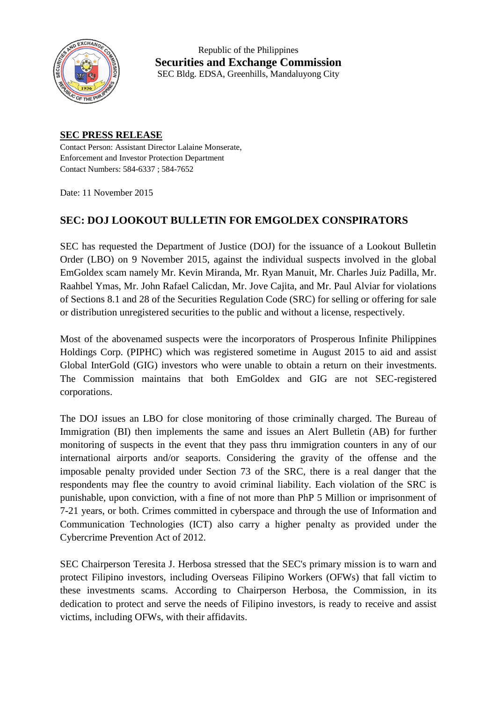

Republic of the Philippines **Securities and Exchange Commission** SEC Bldg. EDSA, Greenhills, Mandaluyong City

## **SEC PRESS RELEASE**

Contact Person: Assistant Director Lalaine Monserate, Enforcement and Investor Protection Department Contact Numbers: 584-6337 ; 584-7652

Date: 11 November 2015

## **SEC: DOJ LOOKOUT BULLETIN FOR EMGOLDEX CONSPIRATORS**

SEC has requested the Department of Justice (DOJ) for the issuance of a Lookout Bulletin Order (LBO) on 9 November 2015, against the individual suspects involved in the global EmGoldex scam namely Mr. Kevin Miranda, Mr. Ryan Manuit, Mr. Charles Juiz Padilla, Mr. Raahbel Ymas, Mr. John Rafael Calicdan, Mr. Jove Cajita, and Mr. Paul Alviar for violations of Sections 8.1 and 28 of the Securities Regulation Code (SRC) for selling or offering for sale or distribution unregistered securities to the public and without a license, respectively.

Most of the abovenamed suspects were the incorporators of Prosperous Infinite Philippines Holdings Corp. (PIPHC) which was registered sometime in August 2015 to aid and assist Global InterGold (GIG) investors who were unable to obtain a return on their investments. The Commission maintains that both EmGoldex and GIG are not SEC-registered corporations.

The DOJ issues an LBO for close monitoring of those criminally charged. The Bureau of Immigration (BI) then implements the same and issues an Alert Bulletin (AB) for further monitoring of suspects in the event that they pass thru immigration counters in any of our international airports and/or seaports. Considering the gravity of the offense and the imposable penalty provided under Section 73 of the SRC, there is a real danger that the respondents may flee the country to avoid criminal liability. Each violation of the SRC is punishable, upon conviction, with a fine of not more than PhP 5 Million or imprisonment of 7-21 years, or both. Crimes committed in cyberspace and through the use of Information and Communication Technologies (ICT) also carry a higher penalty as provided under the Cybercrime Prevention Act of 2012.

SEC Chairperson Teresita J. Herbosa stressed that the SEC's primary mission is to warn and protect Filipino investors, including Overseas Filipino Workers (OFWs) that fall victim to these investments scams. According to Chairperson Herbosa, the Commission, in its dedication to protect and serve the needs of Filipino investors, is ready to receive and assist victims, including OFWs, with their affidavits.